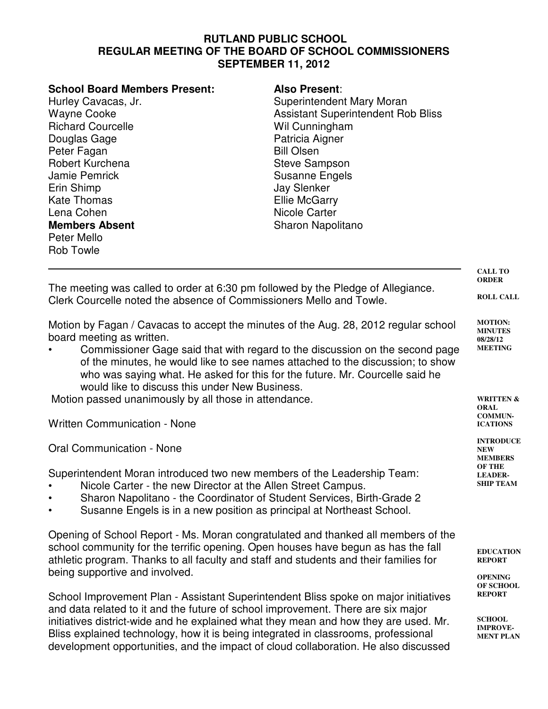## **RUTLAND PUBLIC SCHOOL REGULAR MEETING OF THE BOARD OF SCHOOL COMMISSIONERS SEPTEMBER 11, 2012**

| <b>School Board Members Present:</b> | <b>Also Present:</b>                      |
|--------------------------------------|-------------------------------------------|
| Hurley Cavacas, Jr.                  | Superintendent Mary Moran                 |
| <b>Wayne Cooke</b>                   | <b>Assistant Superintendent Rob Bliss</b> |
| <b>Richard Courcelle</b>             | Wil Cunningham                            |
| Douglas Gage                         | Patricia Aigner                           |
| Peter Fagan                          | <b>Bill Olsen</b>                         |
| Robert Kurchena                      | <b>Steve Sampson</b>                      |
| <b>Jamie Pemrick</b>                 | <b>Susanne Engels</b>                     |
| Erin Shimp                           | <b>Jay Slenker</b>                        |
| <b>Kate Thomas</b>                   | <b>Ellie McGarry</b>                      |
| Lena Cohen                           | Nicole Carter                             |
| <b>Members Absent</b>                | Sharon Napolitano                         |
| Peter Mello                          |                                           |
| <b>Rob Towle</b>                     |                                           |
|                                      |                                           |
|                                      |                                           |

| The meeting was called to order at 6:30 pm followed by the Pledge of Allegiance.<br>Clerk Courcelle noted the absence of Commissioners Mello and Towle.                                                                                                                                                                                                                                                                           | <b>ORDER</b><br><b>ROLL CALL</b>                               |
|-----------------------------------------------------------------------------------------------------------------------------------------------------------------------------------------------------------------------------------------------------------------------------------------------------------------------------------------------------------------------------------------------------------------------------------|----------------------------------------------------------------|
| Motion by Fagan / Cavacas to accept the minutes of the Aug. 28, 2012 regular school<br>board meeting as written.<br>Commissioner Gage said that with regard to the discussion on the second page<br>$\bullet$<br>of the minutes, he would like to see names attached to the discussion; to show<br>who was saying what. He asked for this for the future. Mr. Courcelle said he<br>would like to discuss this under New Business. | <b>MOTION:</b><br><b>MINUTES</b><br>08/28/12<br><b>MEETING</b> |
| Motion passed unanimously by all those in attendance.                                                                                                                                                                                                                                                                                                                                                                             | <b>WRITTEN &amp;</b><br><b>ORAL</b>                            |
| <b>Written Communication - None</b>                                                                                                                                                                                                                                                                                                                                                                                               | <b>COMMUN-</b><br><b>ICATIONS</b>                              |

Oral Communication - None

Superintendent Moran introduced two new members of the Leadership Team:

- Nicole Carter the new Director at the Allen Street Campus.
- Sharon Napolitano the Coordinator of Student Services, Birth-Grade 2
- Susanne Engels is in a new position as principal at Northeast School.

Opening of School Report - Ms. Moran congratulated and thanked all members of the school community for the terrific opening. Open houses have begun as has the fall athletic program. Thanks to all faculty and staff and students and their families for being supportive and involved.

School Improvement Plan - Assistant Superintendent Bliss spoke on major initiatives and data related to it and the future of school improvement. There are six major initiatives district-wide and he explained what they mean and how they are used. Mr. Bliss explained technology, how it is being integrated in classrooms, professional development opportunities, and the impact of cloud collaboration. He also discussed **EDUCATION REPORT**

**INTRODUCE NEW MEMBERS OF THE LEADER-SHIP TEAM**

**CALL TO**

**OPENING OF SCHOOL REPORT**

**SCHOOL IMPROVE-MENT PLAN**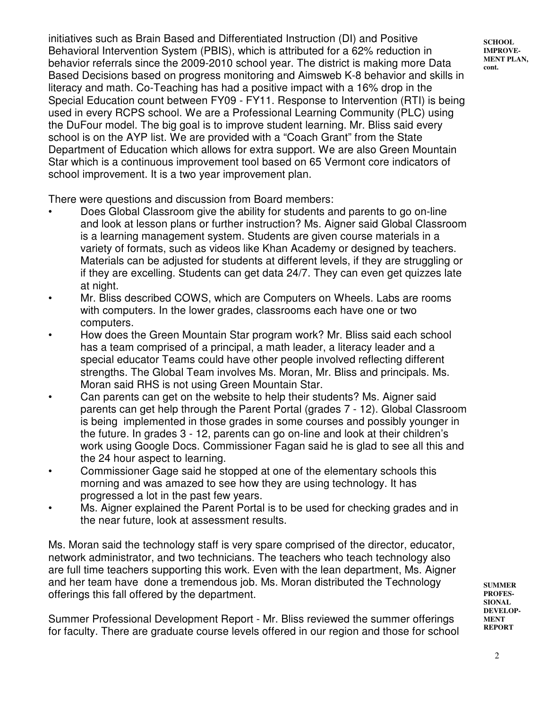initiatives such as Brain Based and Differentiated Instruction (DI) and Positive Behavioral Intervention System (PBIS), which is attributed for a 62% reduction in behavior referrals since the 2009-2010 school year. The district is making more Data Based Decisions based on progress monitoring and Aimsweb K-8 behavior and skills in literacy and math. Co-Teaching has had a positive impact with a 16% drop in the Special Education count between FY09 - FY11. Response to Intervention (RTI) is being used in every RCPS school. We are a Professional Learning Community (PLC) using the DuFour model. The big goal is to improve student learning. Mr. Bliss said every school is on the AYP list. We are provided with a "Coach Grant" from the State Department of Education which allows for extra support. We are also Green Mountain Star which is a continuous improvement tool based on 65 Vermont core indicators of school improvement. It is a two year improvement plan.

There were questions and discussion from Board members:

- Does Global Classroom give the ability for students and parents to go on-line and look at lesson plans or further instruction? Ms. Aigner said Global Classroom is a learning management system. Students are given course materials in a variety of formats, such as videos like Khan Academy or designed by teachers. Materials can be adjusted for students at different levels, if they are struggling or if they are excelling. Students can get data 24/7. They can even get quizzes late at night.
- Mr. Bliss described COWS, which are Computers on Wheels. Labs are rooms with computers. In the lower grades, classrooms each have one or two computers.
- How does the Green Mountain Star program work? Mr. Bliss said each school has a team comprised of a principal, a math leader, a literacy leader and a special educator Teams could have other people involved reflecting different strengths. The Global Team involves Ms. Moran, Mr. Bliss and principals. Ms. Moran said RHS is not using Green Mountain Star.
- Can parents can get on the website to help their students? Ms. Aigner said parents can get help through the Parent Portal (grades 7 - 12). Global Classroom is being implemented in those grades in some courses and possibly younger in the future. In grades 3 - 12, parents can go on-line and look at their children's work using Google Docs. Commissioner Fagan said he is glad to see all this and the 24 hour aspect to learning.
- Commissioner Gage said he stopped at one of the elementary schools this morning and was amazed to see how they are using technology. It has progressed a lot in the past few years.
- Ms. Aigner explained the Parent Portal is to be used for checking grades and in the near future, look at assessment results.

Ms. Moran said the technology staff is very spare comprised of the director, educator, network administrator, and two technicians. The teachers who teach technology also are full time teachers supporting this work. Even with the lean department, Ms. Aigner and her team have done a tremendous job. Ms. Moran distributed the Technology offerings this fall offered by the department.

Summer Professional Development Report - Mr. Bliss reviewed the summer offerings for faculty. There are graduate course levels offered in our region and those for school **SUMMER PROFES-SIONAL DEVELOP-MENT REPORT**

**SCHOOL IMPROVE-MENT PLAN, cont.**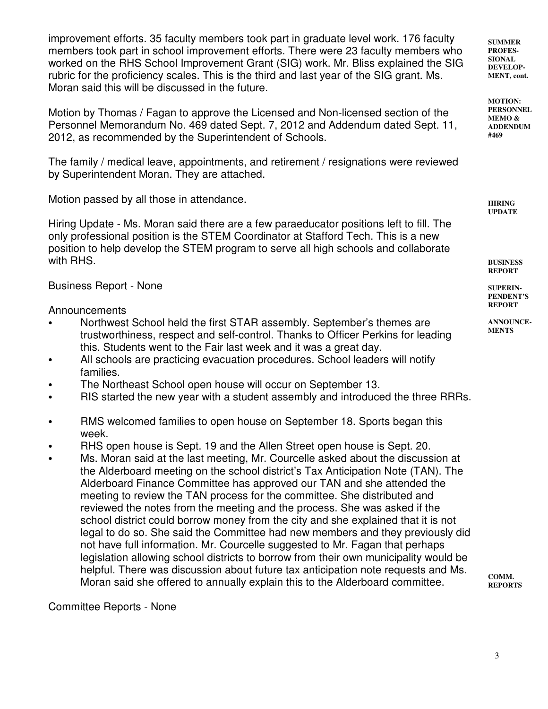improvement efforts. 35 faculty members took part in graduate level work. 176 faculty members took part in school improvement efforts. There were 23 faculty members who worked on the RHS School Improvement Grant (SIG) work. Mr. Bliss explained the SIG rubric for the proficiency scales. This is the third and last year of the SIG grant. Ms. Moran said this will be discussed in the future.

Motion by Thomas / Fagan to approve the Licensed and Non-licensed section of the Personnel Memorandum No. 469 dated Sept. 7, 2012 and Addendum dated Sept. 11, 2012, as recommended by the Superintendent of Schools.

The family / medical leave, appointments, and retirement / resignations were reviewed by Superintendent Moran. They are attached.

Motion passed by all those in attendance.

Hiring Update - Ms. Moran said there are a few paraeducator positions left to fill. The only professional position is the STEM Coordinator at Stafford Tech. This is a new position to help develop the STEM program to serve all high schools and collaborate with RHS.

Business Report - None

Announcements

- Northwest School held the first STAR assembly. September's themes are trustworthiness, respect and self-control. Thanks to Officer Perkins for leading this. Students went to the Fair last week and it was a great day.
- All schools are practicing evacuation procedures. School leaders will notify families.
- The Northeast School open house will occur on September 13.
- RIS started the new year with a student assembly and introduced the three RRRs.
- RMS welcomed families to open house on September 18. Sports began this week.
- RHS open house is Sept. 19 and the Allen Street open house is Sept. 20.
- Ms. Moran said at the last meeting, Mr. Courcelle asked about the discussion at the Alderboard meeting on the school district's Tax Anticipation Note (TAN). The Alderboard Finance Committee has approved our TAN and she attended the meeting to review the TAN process for the committee. She distributed and reviewed the notes from the meeting and the process. She was asked if the school district could borrow money from the city and she explained that it is not legal to do so. She said the Committee had new members and they previously did not have full information. Mr. Courcelle suggested to Mr. Fagan that perhaps legislation allowing school districts to borrow from their own municipality would be helpful. There was discussion about future tax anticipation note requests and Ms. Moran said she offered to annually explain this to the Alderboard committee.

Committee Reports - None

**SUMMER PROFES-SIONAL DEVELOP-MENT, cont.** 

**MOTION: PERSONNEL MEMO & ADDENDUM #469**

**HIRING UPDATE**

**BUSINESS REPORT**

**SUPERIN-PENDENT'S REPORT**

**ANNOUNCE-MENTS**

**COMM. REPORTS**